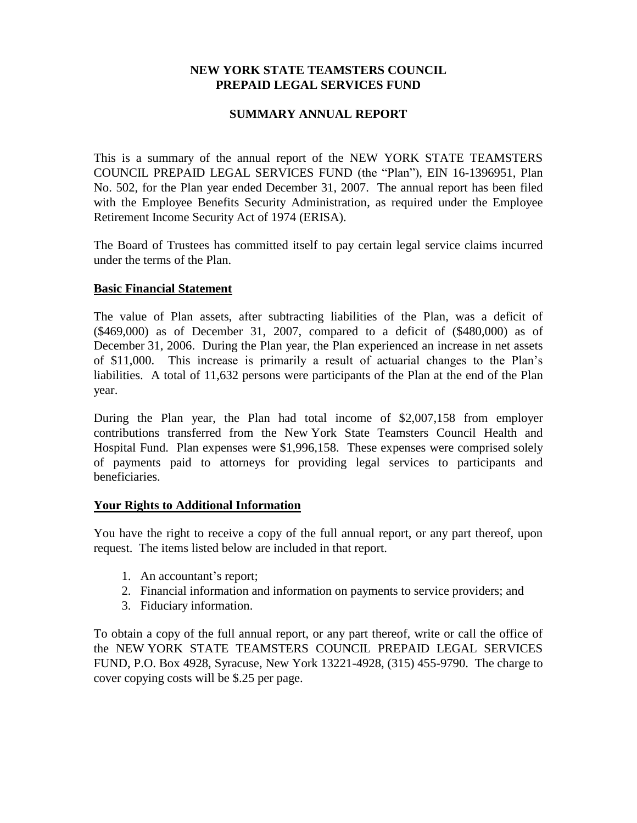## **NEW YORK STATE TEAMSTERS COUNCIL PREPAID LEGAL SERVICES FUND**

## **SUMMARY ANNUAL REPORT**

This is a summary of the annual report of the NEW YORK STATE TEAMSTERS COUNCIL PREPAID LEGAL SERVICES FUND (the "Plan"), EIN 16-1396951, Plan No. 502, for the Plan year ended December 31, 2007. The annual report has been filed with the Employee Benefits Security Administration, as required under the Employee Retirement Income Security Act of 1974 (ERISA).

The Board of Trustees has committed itself to pay certain legal service claims incurred under the terms of the Plan.

## **Basic Financial Statement**

The value of Plan assets, after subtracting liabilities of the Plan, was a deficit of (\$469,000) as of December 31, 2007, compared to a deficit of (\$480,000) as of December 31, 2006. During the Plan year, the Plan experienced an increase in net assets of \$11,000. This increase is primarily a result of actuarial changes to the Plan's liabilities. A total of 11,632 persons were participants of the Plan at the end of the Plan year.

During the Plan year, the Plan had total income of \$2,007,158 from employer contributions transferred from the New York State Teamsters Council Health and Hospital Fund. Plan expenses were \$1,996,158. These expenses were comprised solely of payments paid to attorneys for providing legal services to participants and beneficiaries.

## **Your Rights to Additional Information**

You have the right to receive a copy of the full annual report, or any part thereof, upon request. The items listed below are included in that report.

- 1. An accountant's report;
- 2. Financial information and information on payments to service providers; and
- 3. Fiduciary information.

To obtain a copy of the full annual report, or any part thereof, write or call the office of the NEW YORK STATE TEAMSTERS COUNCIL PREPAID LEGAL SERVICES FUND, P.O. Box 4928, Syracuse, New York 13221-4928, (315) 455-9790. The charge to cover copying costs will be \$.25 per page.